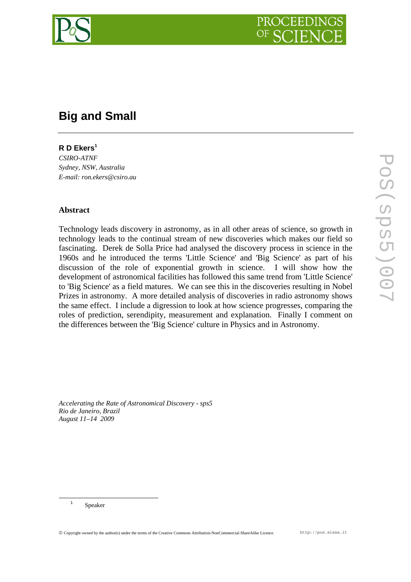

# **Big and Small**

# **R D Ekers<sup>1</sup>**

*CSIRO-ATNF Sydney, NSW, Australia E-mail: ron.ekers@csiro.au*

## **Abstract**

Technology leads discovery in astronomy, as in all other areas of science, so growth in technology leads to the continual stream of new discoveries which makes our field so fascinating. Derek de Solla Price had analysed the discovery process in science in the 1960s and he introduced the terms 'Little Science' and 'Big Science' as part of his discussion of the role of exponential growth in science. I will show how the development of astronomical facilities has followed this same trend from 'Little Science' to 'Big Science' as a field matures. We can see this in the discoveries resulting in Nobel Prizes in astronomy. A more detailed analysis of discoveries in radio astronomy shows the same effect. I include a digression to look at how science progresses, comparing the roles of prediction, serendipity, measurement and explanation. Finally I comment on the differences between the 'Big Science' culture in Physics and in Astronomy.

*Accelerating the Rate of Astronomical Discovery - sps5 Rio de Janeiro, Brazil August 11–14 2009* 

 <sup>1</sup> Speaker

© Copyright owned by the author(s) under the terms of the Creative Commons Attribution-NonCommercial-ShareAlike Licence. http://pos.sissa.it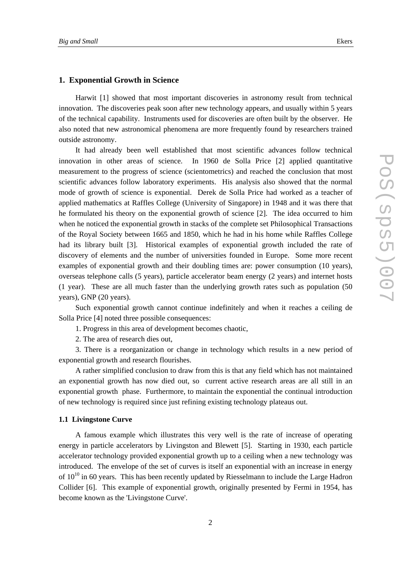### **1. Exponential Growth in Science**

Harwit [1] showed that most important discoveries in astronomy result from technical innovation. The discoveries peak soon after new technology appears, and usually within 5 years of the technical capability. Instruments used for discoveries are often built by the observer. He also noted that new astronomical phenomena are more frequently found by researchers trained outside astronomy.

It had already been well established that most scientific advances follow technical innovation in other areas of science. In 1960 de Solla Price [2] applied quantitative measurement to the progress of science (scientometrics) and reached the conclusion that most scientific advances follow laboratory experiments. His analysis also showed that the normal mode of growth of science is exponential. Derek de Solla Price had worked as a teacher of applied mathematics at Raffles College (University of Singapore) in 1948 and it was there that he formulated his theory on the exponential growth of science [2]. The idea occurred to him when he noticed the exponential growth in stacks of the complete set Philosophical Transactions of the Royal Society between 1665 and 1850, which he had in his home while Raffles College had its library built [3]. Historical examples of exponential growth included the rate of discovery of elements and the number of universities founded in Europe. Some more recent examples of exponential growth and their doubling times are: power consumption (10 years), overseas telephone calls (5 years), particle accelerator beam energy (2 years) and internet hosts (1 year). These are all much faster than the underlying growth rates such as population (50 years), GNP (20 years).

Such exponential growth cannot continue indefinitely and when it reaches a ceiling de Solla Price [4] noted three possible consequences:

1. Progress in this area of development becomes chaotic,

2. The area of research dies out,

3. There is a reorganization or change in technology which results in a new period of exponential growth and research flourishes.

A rather simplified conclusion to draw from this is that any field which has not maintained an exponential growth has now died out, so current active research areas are all still in an exponential growth phase. Furthermore, to maintain the exponential the continual introduction of new technology is required since just refining existing technology plateaus out.

### **1.1 Livingstone Curve**

A famous example which illustrates this very well is the rate of increase of operating energy in particle accelerators by Livingston and Blewett [5]. Starting in 1930, each particle accelerator technology provided exponential growth up to a ceiling when a new technology was introduced. The envelope of the set of curves is itself an exponential with an increase in energy of  $10^{10}$  in 60 years. This has been recently updated by Riesselmann to include the Large Hadron Collider [6]. This example of exponential growth, originally presented by Fermi in 1954, has become known as the 'Livingstone Curve'.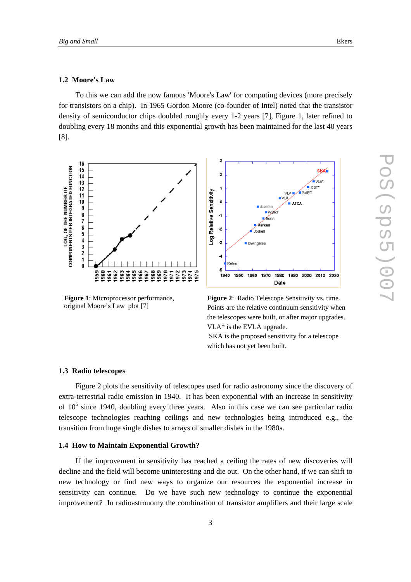### **1.2 Moore's Law**

To this we can add the now famous 'Moore's Law' for computing devices (more precisely for transistors on a chip). In 1965 Gordon Moore (co-founder of Intel) noted that the transistor density of semiconductor chips doubled roughly every 1-2 years [7], Figure 1, later refined to doubling every 18 months and this exponential growth has been maintained for the last 40 years [8].



**Figure 1**: Microprocessor performance, original Moore's Law plot [7]



**Figure 2**: Radio Telescope Sensitivity vs. time. Points are the relative continuum sensitivity when the telescopes were built, or after major upgrades. VLA\* is the EVLA upgrade.

 SKA is the proposed sensitivity for a telescope which has not yet been built.

#### **1.3 Radio telescopes**

Figure 2 plots the sensitivity of telescopes used for radio astronomy since the discovery of extra-terrestrial radio emission in 1940. It has been exponential with an increase in sensitivity of  $10<sup>5</sup>$  since 1940, doubling every three years. Also in this case we can see particular radio telescope technologies reaching ceilings and new technologies being introduced e.g., the transition from huge single dishes to arrays of smaller dishes in the 1980s.

#### **1.4 How to Maintain Exponential Growth?**

If the improvement in sensitivity has reached a ceiling the rates of new discoveries will decline and the field will become uninteresting and die out. On the other hand, if we can shift to new technology or find new ways to organize our resources the exponential increase in sensitivity can continue. Do we have such new technology to continue the exponential improvement? In radioastronomy the combination of transistor amplifiers and their large scale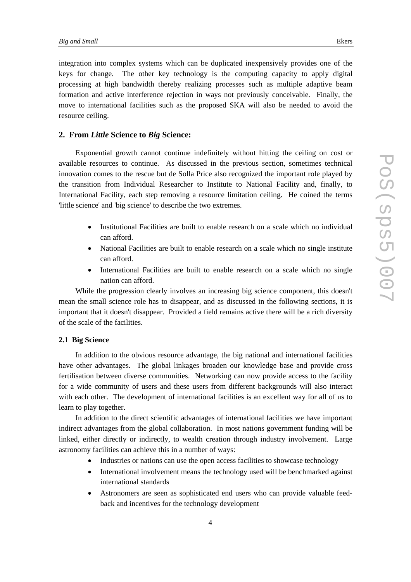integration into complex systems which can be duplicated inexpensively provides one of the keys for change. The other key technology is the computing capacity to apply digital processing at high bandwidth thereby realizing processes such as multiple adaptive beam formation and active interference rejection in ways not previously conceivable. Finally, the move to international facilities such as the proposed SKA will also be needed to avoid the resource ceiling.

### **2. From** *Little* **Science to** *Big* **Science:**

Exponential growth cannot continue indefinitely without hitting the ceiling on cost or available resources to continue. As discussed in the previous section, sometimes technical innovation comes to the rescue but de Solla Price also recognized the important role played by the transition from Individual Researcher to Institute to National Facility and, finally, to International Facility, each step removing a resource limitation ceiling. He coined the terms 'little science' and 'big science' to describe the two extremes.

- Institutional Facilities are built to enable research on a scale which no individual can afford.
- National Facilities are built to enable research on a scale which no single institute can afford.
- International Facilities are built to enable research on a scale which no single nation can afford.

While the progression clearly involves an increasing big science component, this doesn't mean the small science role has to disappear, and as discussed in the following sections, it is important that it doesn't disappear. Provided a field remains active there will be a rich diversity of the scale of the facilities.

### **2.1 Big Science**

In addition to the obvious resource advantage, the big national and international facilities have other advantages. The global linkages broaden our knowledge base and provide cross fertilisation between diverse communities. Networking can now provide access to the facility for a wide community of users and these users from different backgrounds will also interact with each other. The development of international facilities is an excellent way for all of us to learn to play together.

In addition to the direct scientific advantages of international facilities we have important indirect advantages from the global collaboration. In most nations government funding will be linked, either directly or indirectly, to wealth creation through industry involvement. Large astronomy facilities can achieve this in a number of ways:

- Industries or nations can use the open access facilities to showcase technology
- International involvement means the technology used will be benchmarked against international standards
- Astronomers are seen as sophisticated end users who can provide valuable feedback and incentives for the technology development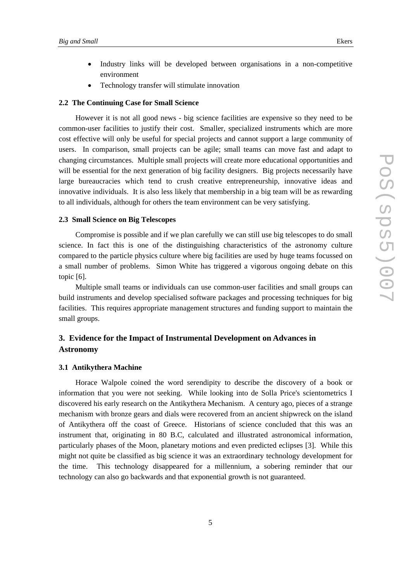- Industry links will be developed between organisations in a non-competitive environment
- Technology transfer will stimulate innovation

#### **2.2 The Continuing Case for Small Science**

However it is not all good news - big science facilities are expensive so they need to be common-user facilities to justify their cost. Smaller, specialized instruments which are more cost effective will only be useful for special projects and cannot support a large community of users. In comparison, small projects can be agile; small teams can move fast and adapt to changing circumstances. Multiple small projects will create more educational opportunities and will be essential for the next generation of big facility designers. Big projects necessarily have large bureaucracies which tend to crush creative entrepreneurship, innovative ideas and innovative individuals. It is also less likely that membership in a big team will be as rewarding to all individuals, although for others the team environment can be very satisfying.

### **2.3 Small Science on Big Telescopes**

Compromise is possible and if we plan carefully we can still use big telescopes to do small science. In fact this is one of the distinguishing characteristics of the astronomy culture compared to the particle physics culture where big facilities are used by huge teams focussed on a small number of problems. Simon White has triggered a vigorous ongoing debate on this topic [6].

Multiple small teams or individuals can use common-user facilities and small groups can build instruments and develop specialised software packages and processing techniques for big facilities. This requires appropriate management structures and funding support to maintain the small groups.

# **3. Evidence for the Impact of Instrumental Development on Advances in Astronomy**

### **3.1 Antikythera Machine**

Horace Walpole coined the word serendipity to describe the discovery of a book or information that you were not seeking. While looking into de Solla Price's scientometrics I discovered his early research on the Antikythera Mechanism. A century ago, pieces of a strange mechanism with bronze gears and dials were recovered from an ancient shipwreck on the island of Antikythera off the coast of Greece. Historians of science concluded that this was an instrument that, originating in 80 B.C, calculated and illustrated astronomical information, particularly phases of the Moon, planetary motions and even predicted eclipses [3]. While this might not quite be classified as big science it was an extraordinary technology development for the time. This technology disappeared for a millennium, a sobering reminder that our technology can also go backwards and that exponential growth is not guaranteed.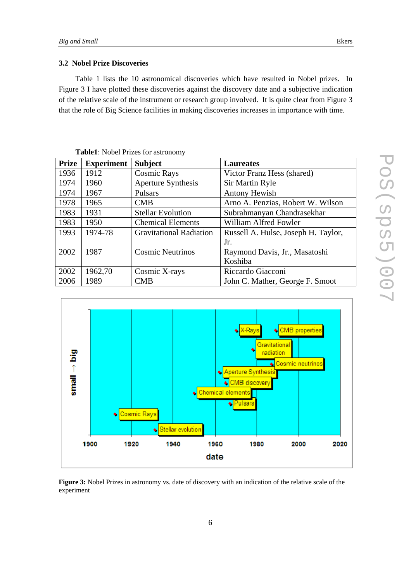### **3.2 Nobel Prize Discoveries**

Table 1 lists the 10 astronomical discoveries which have resulted in Nobel prizes. In Figure 3 I have plotted these discoveries against the discovery date and a subjective indication of the relative scale of the instrument or research group involved. It is quite clear from Figure 3 that the role of Big Science facilities in making discoveries increases in importance with time.

| <b>Prize</b> | <b>Experiment</b> | <b>Subject</b>                 | <b>Laureates</b>                    |
|--------------|-------------------|--------------------------------|-------------------------------------|
| 1936         | 1912              | <b>Cosmic Rays</b>             | Victor Franz Hess (shared)          |
| 1974         | 1960              | Aperture Synthesis             | Sir Martin Ryle                     |
| 1974         | 1967              | Pulsars                        | <b>Antony Hewish</b>                |
| 1978         | 1965              | CMB                            | Arno A. Penzias, Robert W. Wilson   |
| 1983         | 1931              | <b>Stellar Evolution</b>       | Subrahmanyan Chandrasekhar          |
| 1983         | 1950              | <b>Chemical Elements</b>       | William Alfred Fowler               |
| 1993         | 1974-78           | <b>Gravitational Radiation</b> | Russell A. Hulse, Joseph H. Taylor, |
|              |                   |                                | Jr.                                 |
| 2002         | 1987              | <b>Cosmic Neutrinos</b>        | Raymond Davis, Jr., Masatoshi       |
|              |                   |                                | Koshiba                             |
| 2002         | 1962,70           | Cosmic X-rays                  | Riccardo Giacconi                   |
| 2006         | 1989              | CMB                            | John C. Mather, George F. Smoot     |





**Figure 3:** Nobel Prizes in astronomy vs. date of discovery with an indication of the relative scale of the experiment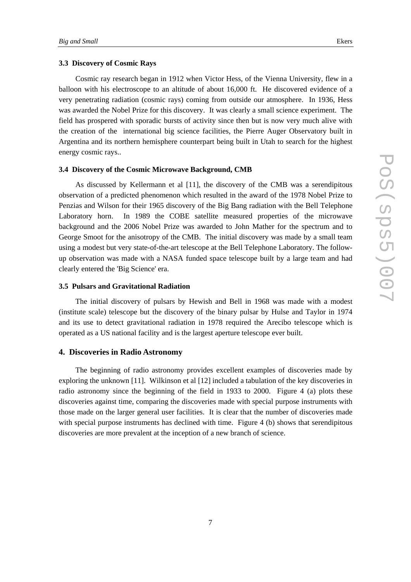### **3.3 Discovery of Cosmic Rays**

Cosmic ray research began in 1912 when Victor Hess, of the Vienna University, flew in a balloon with his electroscope to an altitude of about 16,000 ft. He discovered evidence of a very penetrating radiation (cosmic rays) coming from outside our atmosphere. In 1936, Hess was awarded the Nobel Prize for this discovery. It was clearly a small science experiment. The field has prospered with sporadic bursts of activity since then but is now very much alive with the creation of the international big science facilities, the Pierre Auger Observatory built in Argentina and its northern hemisphere counterpart being built in Utah to search for the highest energy cosmic rays..

#### **3.4 Discovery of the Cosmic Microwave Background, CMB**

As discussed by Kellermann et al [11], the discovery of the CMB was a serendipitous observation of a predicted phenomenon which resulted in the award of the 1978 Nobel Prize to Penzias and Wilson for their 1965 discovery of the Big Bang radiation with the Bell Telephone Laboratory horn. In 1989 the COBE satellite measured properties of the microwave background and the 2006 Nobel Prize was awarded to John Mather for the spectrum and to George Smoot for the anisotropy of the CMB. The initial discovery was made by a small team using a modest but very state-of-the-art telescope at the Bell Telephone Laboratory. The followup observation was made with a NASA funded space telescope built by a large team and had clearly entered the 'Big Science' era.

### **3.5 Pulsars and Gravitational Radiation**

The initial discovery of pulsars by Hewish and Bell in 1968 was made with a modest (institute scale) telescope but the discovery of the binary pulsar by Hulse and Taylor in 1974 and its use to detect gravitational radiation in 1978 required the Arecibo telescope which is operated as a US national facility and is the largest aperture telescope ever built.

### **4. Discoveries in Radio Astronomy**

The beginning of radio astronomy provides excellent examples of discoveries made by exploring the unknown [11]. Wilkinson et al [12] included a tabulation of the key discoveries in radio astronomy since the beginning of the field in 1933 to 2000. Figure 4 (a) plots these discoveries against time, comparing the discoveries made with special purpose instruments with those made on the larger general user facilities. It is clear that the number of discoveries made with special purpose instruments has declined with time. Figure 4 (b) shows that serendipitous discoveries are more prevalent at the inception of a new branch of science.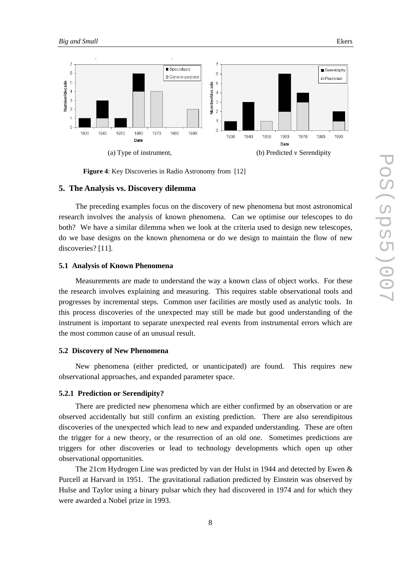

**Figure 4**: Key Discoveries in Radio Astronomy from [12]

#### **5. The Analysis vs. Discovery dilemma**

The preceding examples focus on the discovery of new phenomena but most astronomical research involves the analysis of known phenomena. Can we optimise our telescopes to do both? We have a similar dilemma when we look at the criteria used to design new telescopes, do we base designs on the known phenomena or do we design to maintain the flow of new discoveries? [11].

#### **5.1 Analysis of Known Phenomena**

Measurements are made to understand the way a known class of object works. For these the research involves explaining and measuring. This requires stable observational tools and progresses by incremental steps. Common user facilities are mostly used as analytic tools. In this process discoveries of the unexpected may still be made but good understanding of the instrument is important to separate unexpected real events from instrumental errors which are the most common cause of an unusual result.

#### **5.2 Discovery of New Phenomena**

New phenomena (either predicted, or unanticipated) are found. This requires new observational approaches, and expanded parameter space.

### **5.2.1 Prediction or Serendipity?**

There are predicted new phenomena which are either confirmed by an observation or are observed accidentally but still confirm an existing prediction. There are also serendipitous discoveries of the unexpected which lead to new and expanded understanding. These are often the trigger for a new theory, or the resurrection of an old one. Sometimes predictions are triggers for other discoveries or lead to technology developments which open up other observational opportunities.

The 21cm Hydrogen Line was predicted by van der Hulst in 1944 and detected by Ewen & Purcell at Harvard in 1951. The gravitational radiation predicted by Einstein was observed by Hulse and Taylor using a binary pulsar which they had discovered in 1974 and for which they were awarded a Nobel prize in 1993.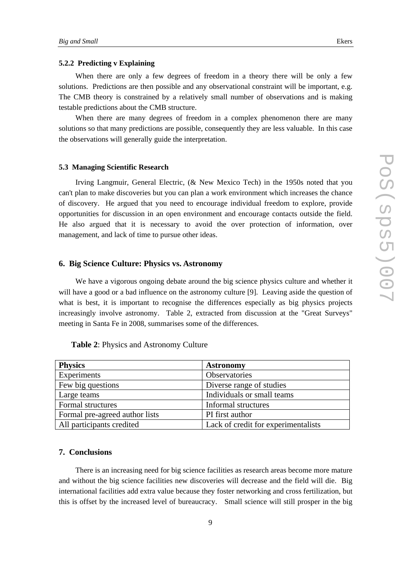### **5.2.2 Predicting v Explaining**

When there are only a few degrees of freedom in a theory there will be only a few solutions. Predictions are then possible and any observational constraint will be important, e.g. The CMB theory is constrained by a relatively small number of observations and is making testable predictions about the CMB structure.

When there are many degrees of freedom in a complex phenomenon there are many solutions so that many predictions are possible, consequently they are less valuable. In this case the observations will generally guide the interpretation.

#### **5.3 Managing Scientific Research**

Irving Langmuir, General Electric, (& New Mexico Tech) in the 1950s noted that you can't plan to make discoveries but you can plan a work environment which increases the chance of discovery. He argued that you need to encourage individual freedom to explore, provide opportunities for discussion in an open environment and encourage contacts outside the field. He also argued that it is necessary to avoid the over protection of information, over management, and lack of time to pursue other ideas.

#### **6. Big Science Culture: Physics vs. Astronomy**

We have a vigorous ongoing debate around the big science physics culture and whether it will have a good or a bad influence on the astronomy culture [9]. Leaving aside the question of what is best, it is important to recognise the differences especially as big physics projects increasingly involve astronomy. Table 2, extracted from discussion at the "Great Surveys" meeting in Santa Fe in 2008, summarises some of the differences.

| <b>Physics</b>                 | <b>Astronomy</b>                    |
|--------------------------------|-------------------------------------|
| Experiments                    | Observatories                       |
| Few big questions              | Diverse range of studies            |
| Large teams                    | Individuals or small teams          |
| Formal structures              | Informal structures                 |
| Formal pre-agreed author lists | PI first author                     |
| All participants credited      | Lack of credit for experimentalists |

#### **Table 2**: Physics and Astronomy Culture

### **7. Conclusions**

There is an increasing need for big science facilities as research areas become more mature and without the big science facilities new discoveries will decrease and the field will die. Big international facilities add extra value because they foster networking and cross fertilization, but this is offset by the increased level of bureaucracy. Small science will still prosper in the big